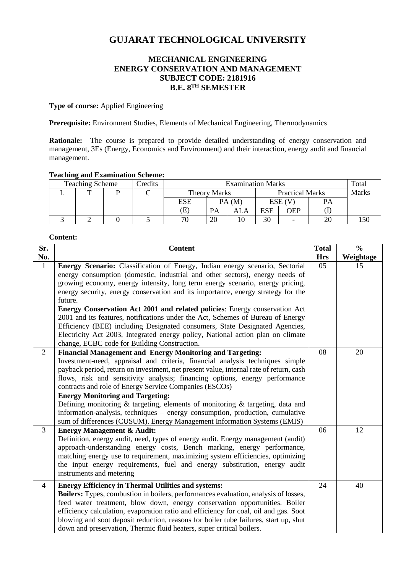# **GUJARAT TECHNOLOGICAL UNIVERSITY**

## **MECHANICAL ENGINEERING ENERGY CONSERVATION AND MANAGEMENT SUBJECT CODE: 2181916 B.E. 8 TH SEMESTER**

**Type of course:** Applied Engineering

**Prerequisite:** Environment Studies, Elements of Mechanical Engineering, Thermodynamics

**Rationale:** The course is prepared to provide detailed understanding of energy conservation and management, 3Es (Energy, Economics and Environment) and their interaction, energy audit and financial management.

## **Teaching and Examination Scheme:**

| <b>Teaching Scheme</b> |  |  | Credits | <b>Examination Marks</b>   |           |                        |     |            | Total |  |
|------------------------|--|--|---------|----------------------------|-----------|------------------------|-----|------------|-------|--|
|                        |  |  |         | Theory Marks               |           | <b>Practical Marks</b> |     | Marks      |       |  |
|                        |  |  |         | ESE                        |           | PA (M)                 |     | ESE (V     | PА    |  |
|                        |  |  |         | $\left( \mathrm{E}\right)$ | <b>PA</b> | ALA                    | ESE | <b>OEP</b> |       |  |
|                        |  |  |         | 70                         | 20        | 10                     | 30  |            | 20    |  |

#### **Content:**

| Sr.            | <b>Content</b>                                                                                                                                                                                                                                                                                                                                                                                                                                                                                                                                                                                                                                                                         | <b>Total</b> | $\frac{0}{0}$ |
|----------------|----------------------------------------------------------------------------------------------------------------------------------------------------------------------------------------------------------------------------------------------------------------------------------------------------------------------------------------------------------------------------------------------------------------------------------------------------------------------------------------------------------------------------------------------------------------------------------------------------------------------------------------------------------------------------------------|--------------|---------------|
| No.            |                                                                                                                                                                                                                                                                                                                                                                                                                                                                                                                                                                                                                                                                                        | <b>Hrs</b>   | Weightage     |
| $\mathbf{1}$   | Energy Scenario: Classification of Energy, Indian energy scenario, Sectorial<br>energy consumption (domestic, industrial and other sectors), energy needs of<br>growing economy, energy intensity, long term energy scenario, energy pricing,<br>energy security, energy conservation and its importance, energy strategy for the<br>future.<br><b>Energy Conservation Act 2001 and related policies:</b> Energy conservation Act<br>2001 and its features, notifications under the Act, Schemes of Bureau of Energy<br>Efficiency (BEE) including Designated consumers, State Designated Agencies,<br>Electricity Act 2003, Integrated energy policy, National action plan on climate | 05           | 15            |
|                | change, ECBC code for Building Construction.                                                                                                                                                                                                                                                                                                                                                                                                                                                                                                                                                                                                                                           |              |               |
| $\overline{2}$ | <b>Financial Management and Energy Monitoring and Targeting:</b><br>Investment-need, appraisal and criteria, financial analysis techniques simple<br>payback period, return on investment, net present value, internal rate of return, cash<br>flows, risk and sensitivity analysis; financing options, energy performance<br>contracts and role of Energy Service Companies (ESCOs)<br><b>Energy Monitoring and Targeting:</b><br>Defining monitoring $\&$ targeting, elements of monitoring $\&$ targeting, data and<br>information-analysis, techniques – energy consumption, production, cumulative<br>sum of differences (CUSUM). Energy Management Information Systems (EMIS)    | 08           | 20            |
| $\overline{3}$ | <b>Energy Management &amp; Audit:</b><br>Definition, energy audit, need, types of energy audit. Energy management (audit)<br>approach-understanding energy costs, Bench marking, energy performance,<br>matching energy use to requirement, maximizing system efficiencies, optimizing<br>the input energy requirements, fuel and energy substitution, energy audit<br>instruments and metering                                                                                                                                                                                                                                                                                        | 06           | 12            |
| $\overline{4}$ | <b>Energy Efficiency in Thermal Utilities and systems:</b><br>Boilers: Types, combustion in boilers, performances evaluation, analysis of losses,<br>feed water treatment, blow down, energy conservation opportunities. Boiler<br>efficiency calculation, evaporation ratio and efficiency for coal, oil and gas. Soot<br>blowing and soot deposit reduction, reasons for boiler tube failures, start up, shut<br>down and preservation, Thermic fluid heaters, super critical boilers.                                                                                                                                                                                               | 24           | 40            |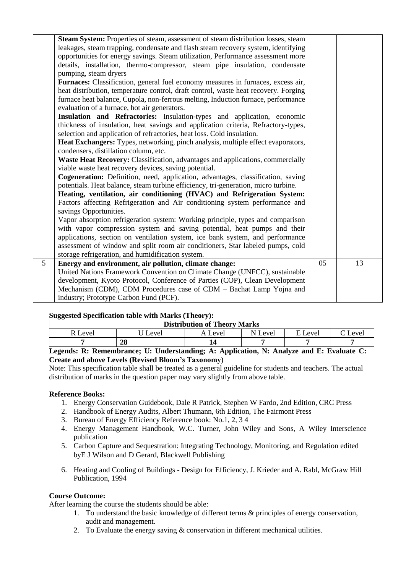|   | <b>Steam System:</b> Properties of steam, assessment of steam distribution losses, steam |    |    |
|---|------------------------------------------------------------------------------------------|----|----|
|   | leakages, steam trapping, condensate and flash steam recovery system, identifying        |    |    |
|   | opportunities for energy savings. Steam utilization, Performance assessment more         |    |    |
|   | details, installation, thermo-compressor, steam pipe insulation, condensate              |    |    |
|   | pumping, steam dryers                                                                    |    |    |
|   | <b>Furnaces:</b> Classification, general fuel economy measures in furnaces, excess air,  |    |    |
|   | heat distribution, temperature control, draft control, waste heat recovery. Forging      |    |    |
|   | furnace heat balance, Cupola, non-ferrous melting, Induction furnace, performance        |    |    |
|   | evaluation of a furnace, hot air generators.                                             |    |    |
|   | Insulation and Refractories: Insulation-types and application, economic                  |    |    |
|   | thickness of insulation, heat savings and application criteria, Refractory-types,        |    |    |
|   | selection and application of refractories, heat loss. Cold insulation.                   |    |    |
|   | Heat Exchangers: Types, networking, pinch analysis, multiple effect evaporators,         |    |    |
|   | condensers, distillation column, etc.                                                    |    |    |
|   | Waste Heat Recovery: Classification, advantages and applications, commercially           |    |    |
|   | viable waste heat recovery devices, saving potential.                                    |    |    |
|   | Cogeneration: Definition, need, application, advantages, classification, saving          |    |    |
|   | potentials. Heat balance, steam turbine efficiency, tri-generation, micro turbine.       |    |    |
|   | Heating, ventilation, air conditioning (HVAC) and Refrigeration System:                  |    |    |
|   | Factors affecting Refrigeration and Air conditioning system performance and              |    |    |
|   | savings Opportunities.                                                                   |    |    |
|   | Vapor absorption refrigeration system: Working principle, types and comparison           |    |    |
|   | with vapor compression system and saving potential, heat pumps and their                 |    |    |
|   | applications, section on ventilation system, ice bank system, and performance            |    |    |
|   | assessment of window and split room air conditioners, Star labeled pumps, cold           |    |    |
|   | storage refrigeration, and humidification system.                                        |    |    |
| 5 | Energy and environment, air pollution, climate change:                                   | 05 | 13 |
|   | United Nations Framework Convention on Climate Change (UNFCC), sustainable               |    |    |
|   | development, Kyoto Protocol, Conference of Parties (COP), Clean Development              |    |    |
|   | Mechanism (CDM), CDM Procedures case of CDM - Bachat Lamp Yojna and                      |    |    |
|   | industry; Prototype Carbon Fund (PCF).                                                   |    |    |
|   |                                                                                          |    |    |

#### **Suggested Specification table with Marks (Theory):**

| ---<br><b>Distribution of Theory Marks</b> |            |         |         |               |              |  |  |
|--------------------------------------------|------------|---------|---------|---------------|--------------|--|--|
| R Level                                    | Level      | A Level | N Level | E Level       | $\sim$ Level |  |  |
|                                            | 28         |         |         |               |              |  |  |
| $\sim$ $\sim$ $\sim$ $\sim$<br>$ -$        | ___ __ _ _ | .       | ___     | $\sim$<br>$-$ |              |  |  |

#### **Legends: R: Remembrance; U: Understanding; A: Application, N: Analyze and E: Evaluate C: Create and above Levels (Revised Bloom's Taxonomy)**

Note: This specification table shall be treated as a general guideline for students and teachers. The actual distribution of marks in the question paper may vary slightly from above table.

## **Reference Books:**

- 1. Energy Conservation Guidebook, Dale R Patrick, Stephen W Fardo, 2nd Edition, CRC Press
- 2. Handbook of Energy Audits, Albert Thumann, 6th Edition, The Fairmont Press
- 3. Bureau of Energy Efficiency Reference book: No.1, 2, 3 4
- 4. Energy Management Handbook, W.C. Turner, John Wiley and Sons, A Wiley Interscience publication
- 5. Carbon Capture and Sequestration: Integrating Technology, Monitoring, and Regulation edited byE J Wilson and D Gerard, Blackwell Publishing
- 6. Heating and Cooling of Buildings Design for Efficiency, J. Krieder and A. Rabl, McGraw Hill Publication, 1994

#### **Course Outcome:**

After learning the course the students should be able:

- 1. To understand the basic knowledge of different terms & principles of energy conservation, audit and management.
- 2. To Evaluate the energy saving & conservation in different mechanical utilities.